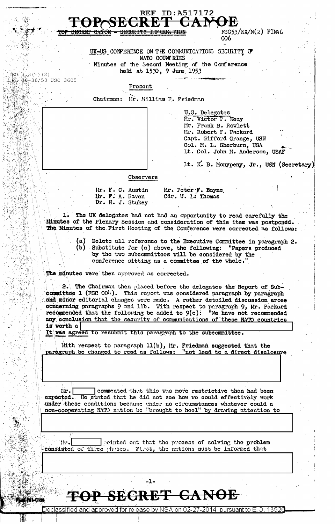|                       | ID:A517172<br><b>REF</b>                                                                                                                                     |  |
|-----------------------|--------------------------------------------------------------------------------------------------------------------------------------------------------------|--|
|                       |                                                                                                                                                              |  |
|                       | $FSC53/EX/M(2)$ FINAL<br><del>SECRET</del><br>᠊ᠳᠬᡴᠸᡴ<br>006                                                                                                  |  |
|                       | UK-US CONFERENCE ON THE COMMUNICATIONS SECURITY OF                                                                                                           |  |
|                       | NATO COUNT RIES                                                                                                                                              |  |
|                       | Minutes of the Secord Meeting of the Conference<br>held at 1530, 9 June 1953                                                                                 |  |
| 記0: 3.3(h) (2)        | 融 86-36/50 USC 3605                                                                                                                                          |  |
|                       | Present                                                                                                                                                      |  |
|                       | Chairman:<br>Mr. William F. Friedman                                                                                                                         |  |
|                       | U.S. Delegates                                                                                                                                               |  |
|                       | Mr. Victor P. Keay<br>Mr. Frank B. Rowlett                                                                                                                   |  |
|                       | Mr. Robert F. Packard                                                                                                                                        |  |
|                       | Capt. Gifford Grange, USN<br>Col. M. L. Sherburn, USA                                                                                                        |  |
|                       | Lt. Col. John M. Anderson, USAF                                                                                                                              |  |
|                       | Lt. K. B. Monypeny, Jr., USN (Secretary)                                                                                                                     |  |
|                       | Observers                                                                                                                                                    |  |
|                       | Mr. Peter F. Bayne<br>Hr. F. C. Austin                                                                                                                       |  |
|                       | Cdr. W. L: Thomas<br>Mr. F. A. Raven                                                                                                                         |  |
|                       | Dr. H. J. Stukey                                                                                                                                             |  |
|                       | 1. The UK delegates had not had an opportunity to read carefully the<br>Minutes of the Plenary Session and consideration of this item was postponed.         |  |
|                       | The Minutes of the First Meeting of the Conference were corrected as follows:                                                                                |  |
|                       | (a)<br>Delete all reference to the Executive Committee in paragraph 2.                                                                                       |  |
|                       | (b) Substitute for (a) above, the following: "Papers produced                                                                                                |  |
|                       | by the two subcommittees will be considered by the<br>conference sitting as a committee of the whole."                                                       |  |
|                       | The minutes were then approved as corrected.                                                                                                                 |  |
|                       |                                                                                                                                                              |  |
|                       | 2. The Chairman then placed before the delegates the Report of Sub-<br>committee 1 (FSC OO <sup>1</sup> ). This report was considered paragraph by paragraph |  |
|                       | and minor editorial changes were made. A rather detailed discussion arose<br>concerning paragraphs 9 and 11b. With respect to paragraph 9, Mr. Packard       |  |
|                       | recommended that the following be added to $9(c)$ : "We have not recommended                                                                                 |  |
|                       | any conclusion that the security of communications of these NATO countries<br>is worth a                                                                     |  |
|                       | It was agreed to resubmit this paragraph to the subcommittee.                                                                                                |  |
|                       | With respect to paragraph $11(b)$ , Mr. Friedman suggested that the                                                                                          |  |
|                       | paragraph be changed to read as follows: "not lead to a direct disclosure                                                                                    |  |
|                       |                                                                                                                                                              |  |
|                       |                                                                                                                                                              |  |
|                       |                                                                                                                                                              |  |
|                       | commented that this was more restrictive than had been<br>lir.<br>expected. He stated that he did not see how we could effectively work                      |  |
|                       | under these conditions because under no circumstances whatever could a                                                                                       |  |
|                       | non-cooperating NATO nation be "brought to heel" by drawing attention to                                                                                     |  |
|                       |                                                                                                                                                              |  |
|                       |                                                                                                                                                              |  |
|                       | pointed out that the process of solving the problem<br>TE.                                                                                                   |  |
|                       | consisted of three phases. First, the nations must be informed that                                                                                          |  |
|                       |                                                                                                                                                              |  |
|                       |                                                                                                                                                              |  |
|                       |                                                                                                                                                              |  |
| <b>FAILY PLICTION</b> | TAL ORANDT AWIJAR                                                                                                                                            |  |
|                       | Declassified and approved for release by NSA on 02-27-2014 pursuant to E.O. 13526                                                                            |  |

Ĵ.

and a